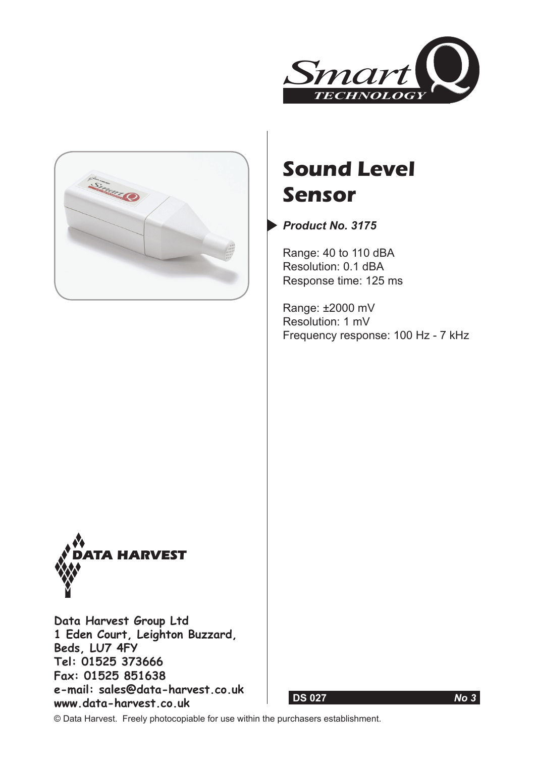



# **Sound Level Sensor**

*Product No. 3175*

Range: 40 to 110 dBA Resolution: 0.1 dBA Response time: 125 ms

Range: ±2000 mV Resolution: 1 mV Frequency response: 100 Hz - 7 kHz



**Data Harvest Group Ltd 1 Eden Court, Leighton Buzzard, Beds, LU7 4FY Tel: 01525 373666 Fax: 01525 851638 e-mail: sales@data-harvest.co.uk www.data-harvest.co.uk**





© Data Harvest. Freely photocopiable for use within the purchasers establishment.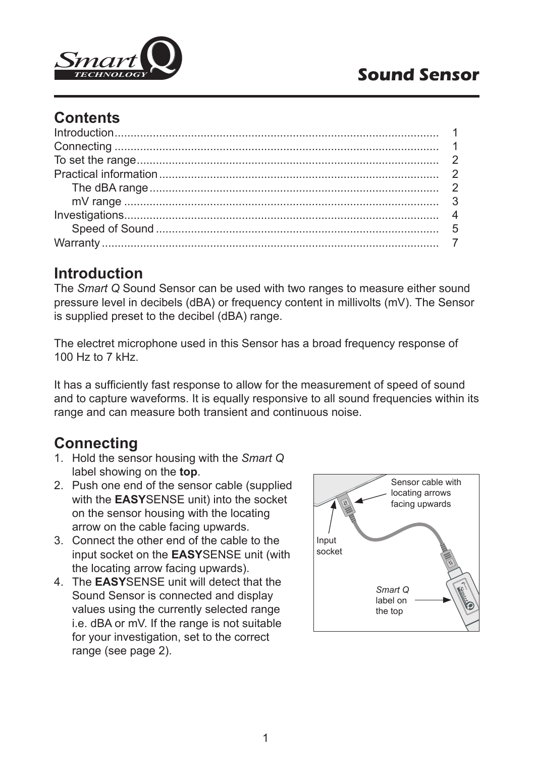

## **Contents**

## **Introduction**

The *Smart Q* Sound Sensor can be used with two ranges to measure either sound pressure level in decibels (dBA) or frequency content in millivolts (mV). The Sensor is supplied preset to the decibel (dBA) range.

The electret microphone used in this Sensor has a broad frequency response of 100 Hz to 7 kHz.

It has a sufficiently fast response to allow for the measurement of speed of sound and to capture waveforms. It is equally responsive to all sound frequencies within its range and can measure both transient and continuous noise.

## **Connecting**

- 1. Hold the sensor housing with the *Smart Q* label showing on the **top**.
- 2. Push one end of the sensor cable (supplied with the **EASY**SENSE unit) into the socket on the sensor housing with the locating arrow on the cable facing upwards.
- 3. Connect the other end of the cable to the input socket on the **EASY**SENSE unit (with the locating arrow facing upwards).
- 4. The **EASY**SENSE unit will detect that the Sound Sensor is connected and display values using the currently selected range i.e. dBA or mV. If the range is not suitable for your investigation, set to the correct range (see page 2).

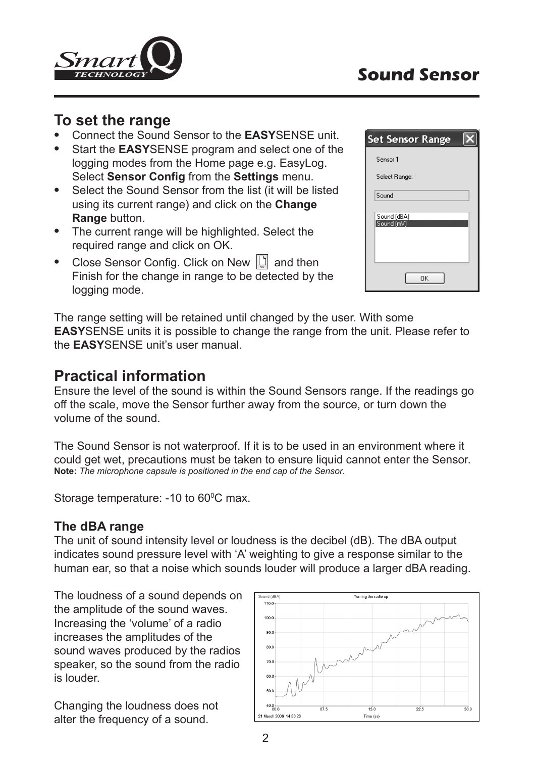

## **To set the range**

- Connect the Sound Sensor to the **EASY**SENSE unit.
- Start the **EASY**SENSE program and select one of the logging modes from the Home page e.g. EasyLog. Select **Sensor Config** from the **Settings** menu.
- Select the Sound Sensor from the list (it will be listed using its current range) and click on the **Change Range** button.
- The current range will be highlighted. Select the required range and click on OK.
- Close Sensor Config. Click on New  $\Box$  and then Finish for the change in range to be detected by the logging mode.

| <b>Set Sensor Range</b>   |
|---------------------------|
| Sensor 1                  |
| Select Range:             |
| Sound                     |
| Sound (dBA)<br>Sound [mV] |
|                           |
| OK                        |

The range setting will be retained until changed by the user. With some **EASY**SENSE units it is possible to change the range from the unit. Please refer to the **EASY**SENSE unit's user manual.

## **Practical information**

Ensure the level of the sound is within the Sound Sensors range. If the readings go off the scale, move the Sensor further away from the source, or turn down the volume of the sound.

The Sound Sensor is not waterproof. If it is to be used in an environment where it could get wet, precautions must be taken to ensure liquid cannot enter the Sensor. **Note:** *The microphone capsule is positioned in the end cap of the Sensor.*

Storage temperature: -10 to 60<sup>o</sup>C max.

#### **The dBA range**

The unit of sound intensity level or loudness is the decibel (dB). The dBA output indicates sound pressure level with 'A' weighting to give a response similar to the human ear, so that a noise which sounds louder will produce a larger dBA reading.

The loudness of a sound depends on the amplitude of the sound waves. Increasing the 'volume' of a radio increases the amplitudes of the sound waves produced by the radios speaker, so the sound from the radio is louder.

Changing the loudness does not alter the frequency of a sound.

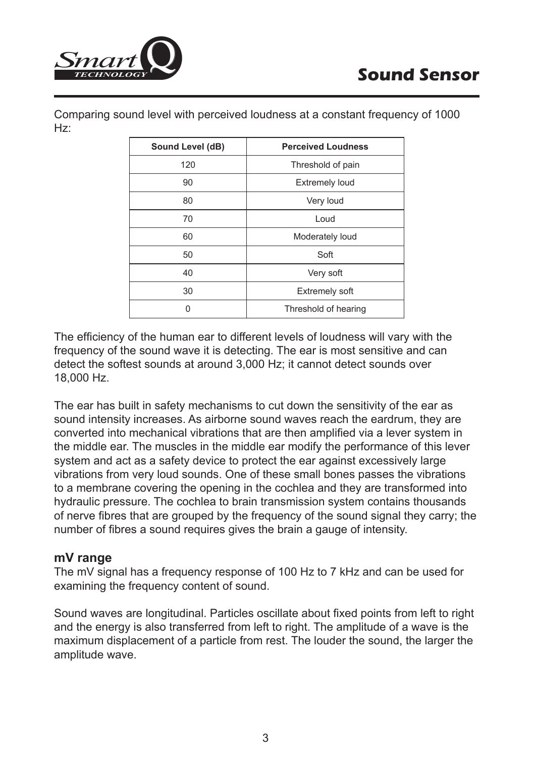

Comparing sound level with perceived loudness at a constant frequency of 1000 Hz:

| Sound Level (dB) | <b>Perceived Loudness</b> |
|------------------|---------------------------|
| 120              | Threshold of pain         |
| 90               | <b>Extremely loud</b>     |
| 80               | Very loud                 |
| 70               | Loud                      |
| 60               | Moderately loud           |
| 50               | Soft                      |
| 40               | Very soft                 |
| 30               | <b>Extremely soft</b>     |
| U                | Threshold of hearing      |

The efficiency of the human ear to different levels of loudness will vary with the frequency of the sound wave it is detecting. The ear is most sensitive and can detect the softest sounds at around 3,000 Hz; it cannot detect sounds over 18,000 Hz.

The ear has built in safety mechanisms to cut down the sensitivity of the ear as sound intensity increases. As airborne sound waves reach the eardrum, they are converted into mechanical vibrations that are then amplified via a lever system in the middle ear. The muscles in the middle ear modify the performance of this lever system and act as a safety device to protect the ear against excessively large vibrations from very loud sounds. One of these small bones passes the vibrations to a membrane covering the opening in the cochlea and they are transformed into hydraulic pressure. The cochlea to brain transmission system contains thousands of nerve fibres that are grouped by the frequency of the sound signal they carry; the number of fibres a sound requires gives the brain a gauge of intensity.

#### **mV range**

The mV signal has a frequency response of 100 Hz to 7 kHz and can be used for examining the frequency content of sound.

Sound waves are longitudinal. Particles oscillate about fixed points from left to right and the energy is also transferred from left to right. The amplitude of a wave is the maximum displacement of a particle from rest. The louder the sound, the larger the amplitude wave.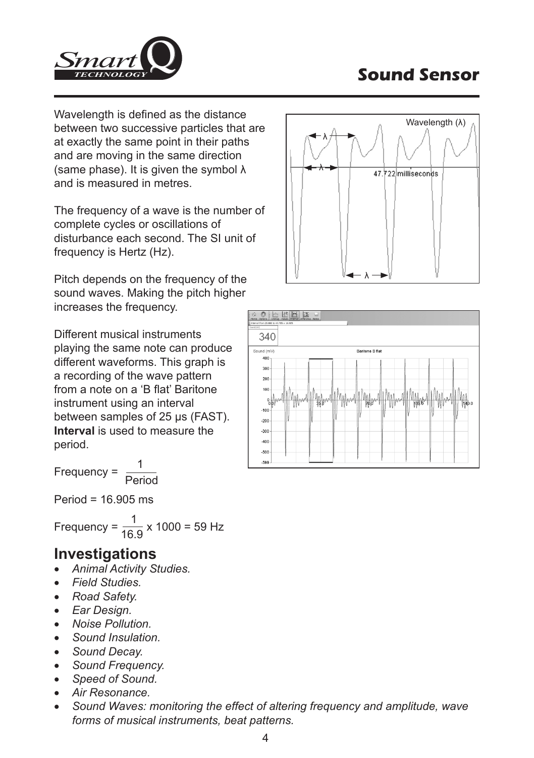

Wavelength is defined as the distance between two successive particles that are at exactly the same point in their paths and are moving in the same direction (same phase). It is given the symbol λ and is measured in metres.

The frequency of a wave is the number of complete cycles or oscillations of disturbance each second. The SI unit of frequency is Hertz (Hz).

Pitch depends on the frequency of the sound waves. Making the pitch higher increases the frequency.

Different musical instruments playing the same note can produce different waveforms. This graph is a recording of the wave pattern from a note on a 'B flat' Baritone instrument using an interval between samples of 25 μs (FAST). **Interval** is used to measure the period.

Frequency = 
$$
\frac{1}{\text{Period}}
$$

Period = 16.905 ms

Frequency =  $\frac{1}{16.9}$  x 1000 = 59 Hz

## **Investigations**

- *Animal Activity Studies.*
- *Field Studies.*
- *Road Safety.*
- *Ear Design.*
- *Noise Pollution.*
- *Sound Insulation.*
- *Sound Decay.*
- *Sound Frequency.*
- *Speed of Sound.*
- *Air Resonance.*
- *Sound Waves: monitoring the effect of altering frequency and amplitude, wave forms of musical instruments, beat patterns.*



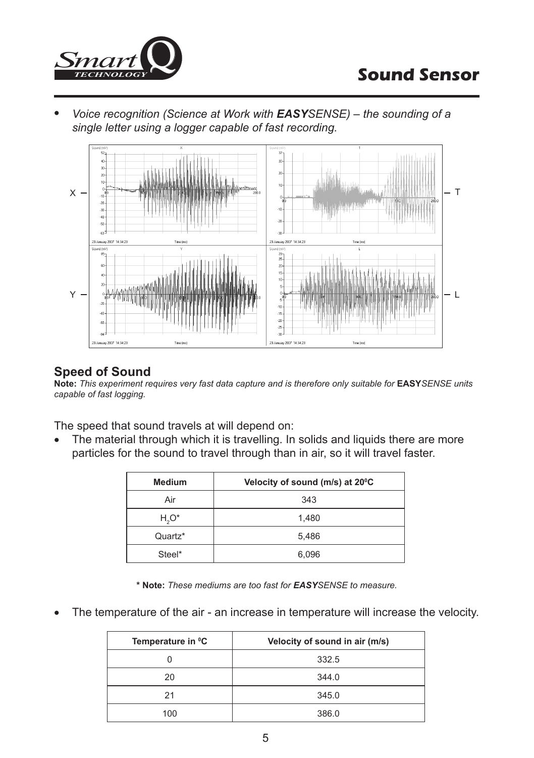

• *Voice recognition (Science at Work with EASYSENSE) – the sounding of a single letter using a logger capable of fast recording.*



#### **Speed of Sound**

**Note:** *This experiment requires very fast data capture and is therefore only suitable for* **EASY***SENSE units capable of fast logging.*

The speed that sound travels at will depend on:

• The material through which it is travelling. In solids and liquids there are more particles for the sound to travel through than in air, so it will travel faster.

| <b>Medium</b> | Velocity of sound (m/s) at 20°C |
|---------------|---------------------------------|
| Air           | 343                             |
| $H_2O^*$      | 1.480                           |
| Quartz*       | 5,486                           |
| Steel*        | 6,096                           |

**\* Note:** *These mediums are too fast for EASYSENSE to measure.*

• The temperature of the air - an increase in temperature will increase the velocity.

| Temperature in <sup>o</sup> C | Velocity of sound in air (m/s) |
|-------------------------------|--------------------------------|
|                               | 332.5                          |
| 20                            | 344.0                          |
| 21                            | 345.0                          |
| 100                           | 386.0                          |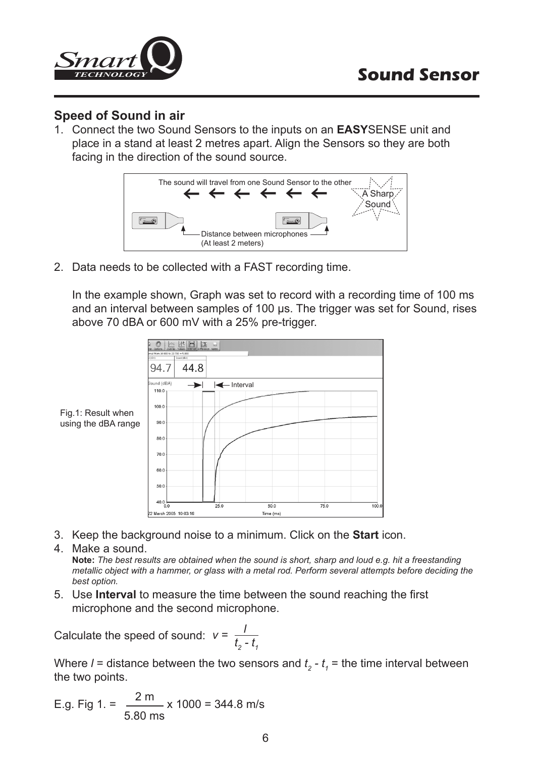

#### **Speed of Sound in air**

1. Connect the two Sound Sensors to the inputs on an **EASY**SENSE unit and place in a stand at least 2 metres apart. Align the Sensors so they are both facing in the direction of the sound source.



2. Data needs to be collected with a FAST recording time.

In the example shown, Graph was set to record with a recording time of 100 ms and an interval between samples of 100 μs. The trigger was set for Sound, rises above 70 dBA or 600 mV with a 25% pre-trigger.



- 3. Keep the background noise to a minimum. Click on the **Start** icon.
- 4. Make a sound. **Note:** *The best results are obtained when the sound is short, sharp and loud e.g. hit a freestanding metallic object with a hammer, or glass with a metal rod. Perform several attempts before deciding the best option.*
- 5. Use **Interval** to measure the time between the sound reaching the first microphone and the second microphone.

Calculate the speed of sound: 
$$
v = \frac{l}{t_2 - t_1}
$$

Where  $l$  = distance between the two sensors and  $t_{2}$  -  $t_{1}$  = the time interval between the two points.

E.g. Fig 1. = 
$$
\frac{2 \text{ m}}{5.80 \text{ ms}}
$$
 x 1000 = 344.8 m/s